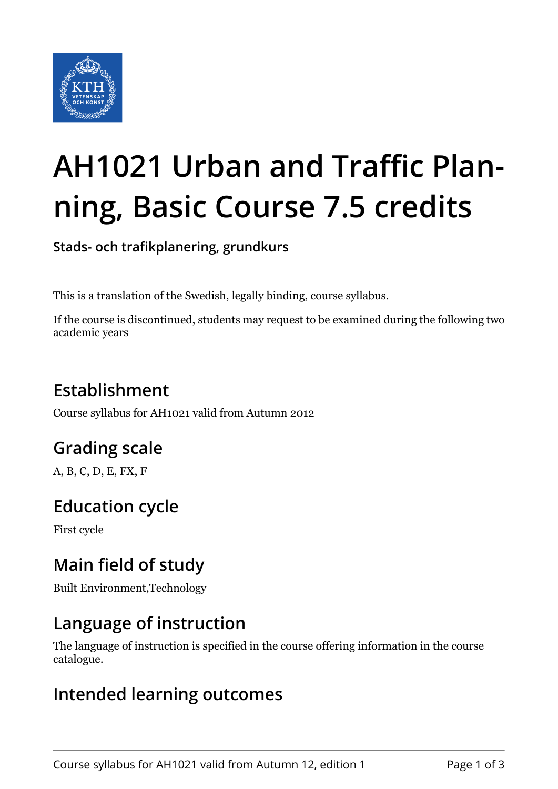

# **AH1021 Urban and Traffic Planning, Basic Course 7.5 credits**

**Stads- och trafikplanering, grundkurs**

This is a translation of the Swedish, legally binding, course syllabus.

If the course is discontinued, students may request to be examined during the following two academic years

# **Establishment**

Course syllabus for AH1021 valid from Autumn 2012

## **Grading scale**

A, B, C, D, E, FX, F

## **Education cycle**

First cycle

## **Main field of study**

Built Environment,Technology

### **Language of instruction**

The language of instruction is specified in the course offering information in the course catalogue.

#### **Intended learning outcomes**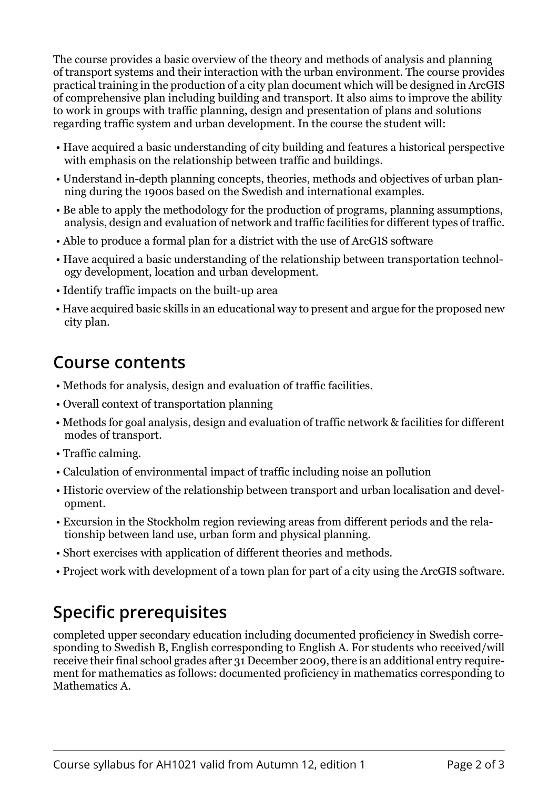The course provides a basic overview of the theory and methods of analysis and planning of transport systems and their interaction with the urban environment. The course provides practical training in the production of a city plan document which will be designed in ArcGIS of comprehensive plan including building and transport. It also aims to improve the ability to work in groups with traffic planning, design and presentation of plans and solutions regarding traffic system and urban development. In the course the student will:

- Have acquired a basic understanding of city building and features a historical perspective with emphasis on the relationship between traffic and buildings.
- Understand in-depth planning concepts, theories, methods and objectives of urban planning during the 1900s based on the Swedish and international examples.
- Be able to apply the methodology for the production of programs, planning assumptions, analysis, design and evaluation of network and traffic facilities for different types of traffic.
- Able to produce a formal plan for a district with the use of ArcGIS software
- Have acquired a basic understanding of the relationship between transportation technology development, location and urban development.
- Identify traffic impacts on the built-up area
- Have acquired basic skills in an educational way to present and argue for the proposed new city plan.

#### **Course contents**

- Methods for analysis, design and evaluation of traffic facilities.
- Overall context of transportation planning
- Methods for goal analysis, design and evaluation of traffic network & facilities for different modes of transport.
- Traffic calming.
- Calculation of environmental impact of traffic including noise an pollution
- Historic overview of the relationship between transport and urban localisation and development.
- Excursion in the Stockholm region reviewing areas from different periods and the relationship between land use, urban form and physical planning.
- Short exercises with application of different theories and methods.
- Project work with development of a town plan for part of a city using the ArcGIS software.

## **Specific prerequisites**

completed upper secondary education including documented proficiency in Swedish corresponding to Swedish B, English corresponding to English A. For students who received/will receive their final school grades after 31 December 2009, there is an additional entry requirement for mathematics as follows: documented proficiency in mathematics corresponding to Mathematics A.